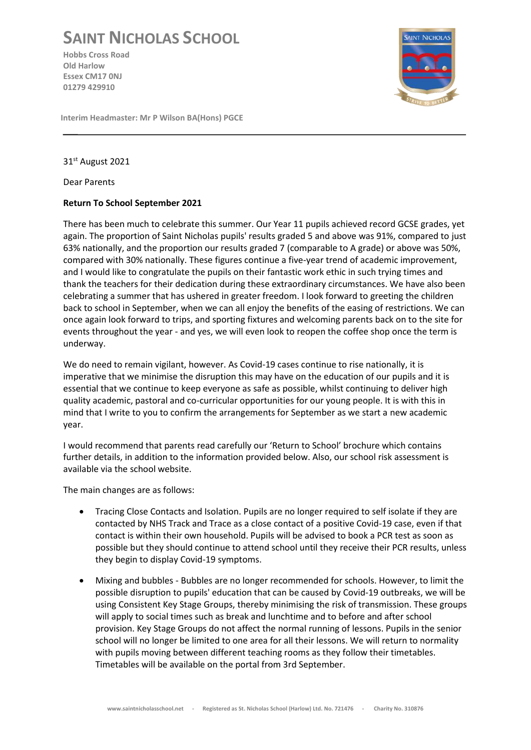## **SAINT NICHOLAS SCHOOL**

**Hobbs Cross Road Old Harlow Essex CM17 0NJ 01279 429910**



**Interim Headmaster: Mr P Wilson BA(Hons) PGCE**

31st August 2021

Dear Parents

## **Return To School September 2021**

There has been much to celebrate this summer. Our Year 11 pupils achieved record GCSE grades, yet again. The proportion of Saint Nicholas pupils' results graded 5 and above was 91%, compared to just 63% nationally, and the proportion our results graded 7 (comparable to A grade) or above was 50%, compared with 30% nationally. These figures continue a five-year trend of academic improvement, and I would like to congratulate the pupils on their fantastic work ethic in such trying times and thank the teachers for their dedication during these extraordinary circumstances. We have also been celebrating a summer that has ushered in greater freedom. I look forward to greeting the children back to school in September, when we can all enjoy the benefits of the easing of restrictions. We can once again look forward to trips, and sporting fixtures and welcoming parents back on to the site for events throughout the year - and yes, we will even look to reopen the coffee shop once the term is underway.

We do need to remain vigilant, however. As Covid-19 cases continue to rise nationally, it is imperative that we minimise the disruption this may have on the education of our pupils and it is essential that we continue to keep everyone as safe as possible, whilst continuing to deliver high quality academic, pastoral and co-curricular opportunities for our young people. It is with this in mind that I write to you to confirm the arrangements for September as we start a new academic year.

I would recommend that parents read carefully our 'Return to School' brochure which contains further details, in addition to the information provided below. Also, our school risk assessment is available via the school website.

The main changes are as follows:

- Tracing Close Contacts and Isolation. Pupils are no longer required to self isolate if they are contacted by NHS Track and Trace as a close contact of a positive Covid-19 case, even if that contact is within their own household. Pupils will be advised to book a PCR test as soon as possible but they should continue to attend school until they receive their PCR results, unless they begin to display Covid-19 symptoms.
- Mixing and bubbles Bubbles are no longer recommended for schools. However, to limit the possible disruption to pupils' education that can be caused by Covid-19 outbreaks, we will be using Consistent Key Stage Groups, thereby minimising the risk of transmission. These groups will apply to social times such as break and lunchtime and to before and after school provision. Key Stage Groups do not affect the normal running of lessons. Pupils in the senior school will no longer be limited to one area for all their lessons. We will return to normality with pupils moving between different teaching rooms as they follow their timetables. Timetables will be available on the portal from 3rd September.